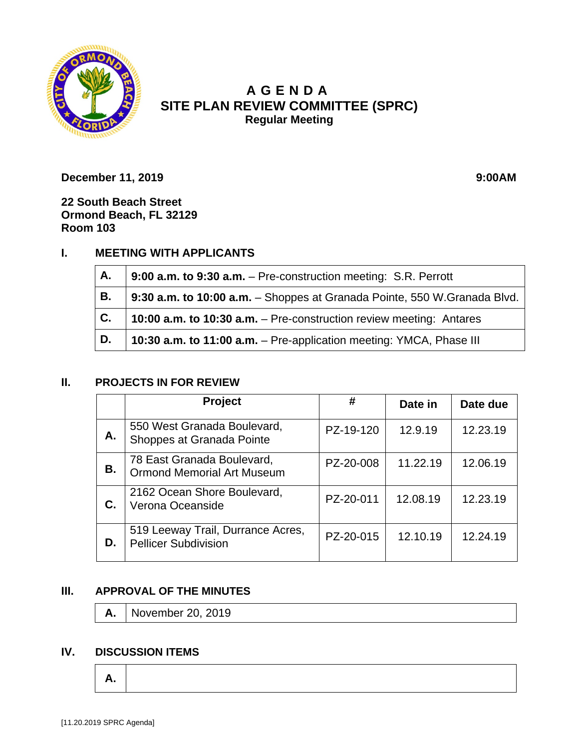

# **A GENDA SITE PLAN REVIEW COMMITTEE (SPRC) Regular Meeting**

**December 11, 2019 9:00AM** 

**22 South Beach Street Ormond Beach, FL 32129 Room 103**

## **I. MEETING WITH APPLICANTS**

| Α.             | 9:00 a.m. to 9:30 a.m. - Pre-construction meeting: S.R. Perrott          |  |  |
|----------------|--------------------------------------------------------------------------|--|--|
| В.             | 9:30 a.m. to 10:00 a.m. - Shoppes at Granada Pointe, 550 W.Granada Blvd. |  |  |
| $\mathsf{C}$ . | 10:00 a.m. to 10:30 a.m. - Pre-construction review meeting: Antares      |  |  |
| D.             | 10:30 a.m. to 11:00 a.m. - Pre-application meeting: YMCA, Phase III      |  |  |

### **II. PROJECTS IN FOR REVIEW**

|    | <b>Project</b>                                                   | #         | Date in  | Date due |
|----|------------------------------------------------------------------|-----------|----------|----------|
| А. | 550 West Granada Boulevard,<br>Shoppes at Granada Pointe         | PZ-19-120 | 12.9.19  | 12.23.19 |
| В. | 78 East Granada Boulevard,<br><b>Ormond Memorial Art Museum</b>  | PZ-20-008 | 11.22.19 | 12.06.19 |
| С. | 2162 Ocean Shore Boulevard,<br>Verona Oceanside                  | PZ-20-011 | 12.08.19 | 12.23.19 |
| D. | 519 Leeway Trail, Durrance Acres,<br><b>Pellicer Subdivision</b> | PZ-20-015 | 12.10.19 | 12.24.19 |

### **III. APPROVAL OF THE MINUTES**

**A.** November 20, 2019

#### **IV. DISCUSSION ITEMS**

$$
\boxed{\mathsf{A}}.
$$

 $\Gamma$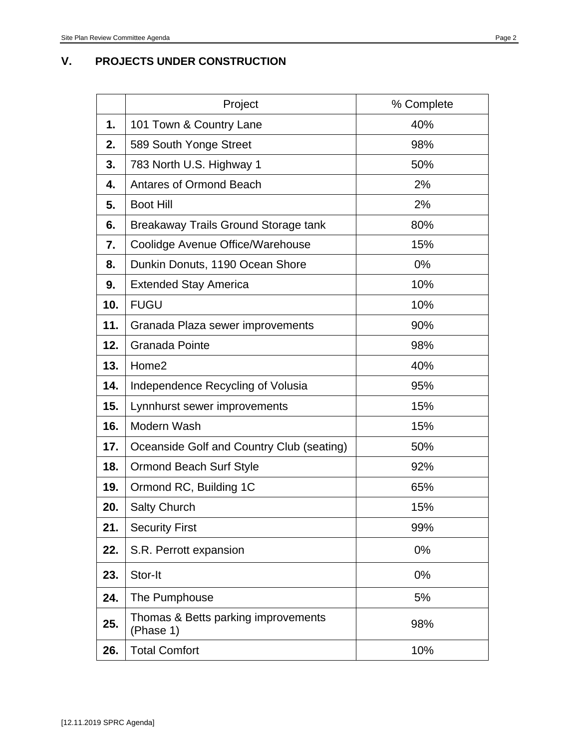#### **V. PROJECTS UNDER CONSTRUCTION**

|     | Project                                          | % Complete |  |
|-----|--------------------------------------------------|------------|--|
| 1.  | 101 Town & Country Lane                          | 40%        |  |
| 2.  | 589 South Yonge Street                           | 98%        |  |
| 3.  | 783 North U.S. Highway 1                         | 50%        |  |
| 4.  | <b>Antares of Ormond Beach</b>                   | 2%         |  |
| 5.  | <b>Boot Hill</b>                                 | 2%         |  |
| 6.  | Breakaway Trails Ground Storage tank             | 80%        |  |
| 7.  | Coolidge Avenue Office/Warehouse                 | 15%        |  |
| 8.  | Dunkin Donuts, 1190 Ocean Shore                  | 0%         |  |
| 9.  | <b>Extended Stay America</b>                     | 10%        |  |
| 10. | <b>FUGU</b>                                      | 10%        |  |
| 11. | Granada Plaza sewer improvements                 | 90%        |  |
| 12. | Granada Pointe                                   | 98%        |  |
| 13. | Home2                                            | 40%        |  |
| 14. | Independence Recycling of Volusia                | 95%        |  |
| 15. | Lynnhurst sewer improvements                     | 15%        |  |
| 16. | Modern Wash                                      | 15%        |  |
| 17. | Oceanside Golf and Country Club (seating)        | 50%        |  |
| 18. | <b>Ormond Beach Surf Style</b>                   | 92%        |  |
| 19. | Ormond RC, Building 1C                           | 65%        |  |
| 20. | <b>Salty Church</b>                              | 15%        |  |
| 21. | <b>Security First</b>                            | 99%        |  |
| 22. | S.R. Perrott expansion                           | 0%         |  |
| 23. | Stor-It                                          | 0%         |  |
| 24. | The Pumphouse                                    | 5%         |  |
| 25. | Thomas & Betts parking improvements<br>(Phase 1) | 98%        |  |
| 26. | <b>Total Comfort</b>                             | 10%        |  |